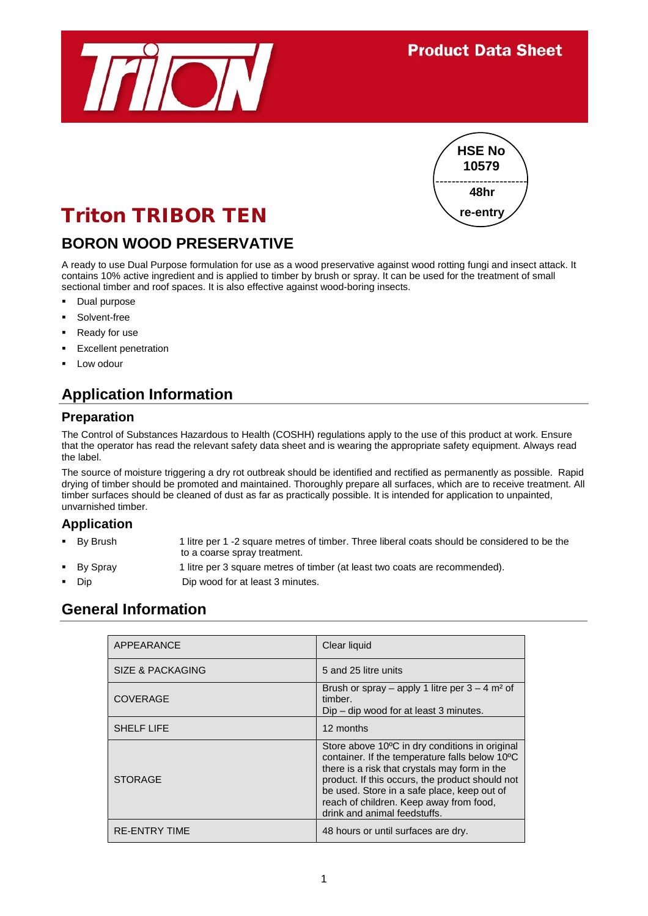



# Triton TRIBOR TEN

## **BORON WOOD PRESERVATIVE**

A ready to use Dual Purpose formulation for use as a wood preservative against wood rotting fungi and insect attack. It contains 10% active ingredient and is applied to timber by brush or spray. It can be used for the treatment of small sectional timber and roof spaces. It is also effective against wood-boring insects.

- Dual purpose
- Solvent-free
- Ready for use
- Excellent penetration
- Low odour

# **Application Information**

#### **Preparation**

The Control of Substances Hazardous to Health (COSHH) regulations apply to the use of this product at work. Ensure that the operator has read the relevant safety data sheet and is wearing the appropriate safety equipment. Always read the label.

The source of moisture triggering a dry rot outbreak should be identified and rectified as permanently as possible. Rapid drying of timber should be promoted and maintained. Thoroughly prepare all surfaces, which are to receive treatment. All timber surfaces should be cleaned of dust as far as practically possible. It is intended for application to unpainted, unvarnished timber.

#### **Application**

- By Brush 1 litre per 1 -2 square metres of timber. Three liberal coats should be considered to be the to a coarse spray treatment.
- By Spray 1 litre per 3 square metres of timber (at least two coats are recommended).
- 

#### Dip Dip wood for at least 3 minutes.

#### **General Information**

| <b>APPEARANCE</b>    | Clear liquid                                                                                                                                                                                                                                                                                                                   |
|----------------------|--------------------------------------------------------------------------------------------------------------------------------------------------------------------------------------------------------------------------------------------------------------------------------------------------------------------------------|
| SIZE & PACKAGING     | 5 and 25 litre units                                                                                                                                                                                                                                                                                                           |
| <b>COVERAGE</b>      | Brush or spray – apply 1 litre per $3 - 4$ m <sup>2</sup> of<br>timber.<br>$Dip$ – dip wood for at least 3 minutes.                                                                                                                                                                                                            |
| <b>SHELF LIFE</b>    | 12 months                                                                                                                                                                                                                                                                                                                      |
| <b>STORAGE</b>       | Store above 10°C in dry conditions in original<br>container. If the temperature falls below 10°C<br>there is a risk that crystals may form in the<br>product. If this occurs, the product should not<br>be used. Store in a safe place, keep out of<br>reach of children. Keep away from food,<br>drink and animal feedstuffs. |
| <b>RE-ENTRY TIME</b> | 48 hours or until surfaces are dry.                                                                                                                                                                                                                                                                                            |